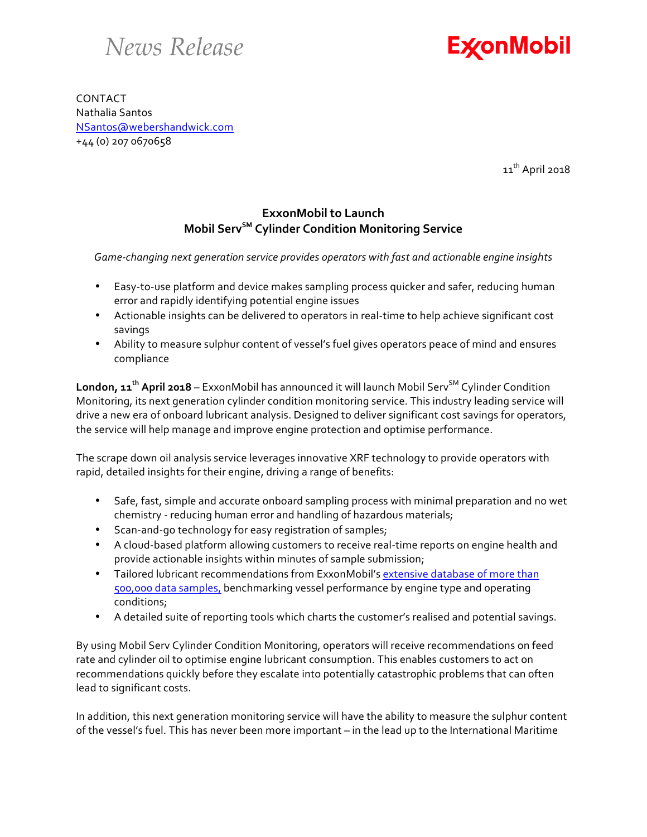## *News Release*



CONTACT Nathalia Santos NSantos@webershandwick.com +44 (0) 207 0670658

11<sup>th</sup> April 2018

## **ExxonMobil to Launch Mobil ServSM Cylinder Condition Monitoring Service**

Game-changing next generation service provides operators with fast and actionable engine insights

- Easy-to-use platform and device makes sampling process quicker and safer, reducing human error and rapidly identifying potential engine issues
- Actionable insights can be delivered to operators in real-time to help achieve significant cost savings
- Ability to measure sulphur content of vessel's fuel gives operators peace of mind and ensures compliance

London, 11<sup>th</sup> April 2018 – ExxonMobil has announced it will launch Mobil Serv<sup>SM</sup> Cylinder Condition Monitoring, its next generation cylinder condition monitoring service. This industry leading service will drive a new era of onboard lubricant analysis. Designed to deliver significant cost savings for operators, the service will help manage and improve engine protection and optimise performance.

The scrape down oil analysis service leverages innovative XRF technology to provide operators with rapid, detailed insights for their engine, driving a range of benefits:

- Safe, fast, simple and accurate onboard sampling process with minimal preparation and no wet chemistry - reducing human error and handling of hazardous materials;
- Scan-and-go technology for easy registration of samples;
- A cloud-based platform allowing customers to receive real-time reports on engine health and provide actionable insights within minutes of sample submission;
- Tailored lubricant recommendations from ExxonMobil's extensive database of more than 500,000 data samples, benchmarking vessel performance by engine type and operating conditions;
- A detailed suite of reporting tools which charts the customer's realised and potential savings.

By using Mobil Serv Cylinder Condition Monitoring, operators will receive recommendations on feed rate and cylinder oil to optimise engine lubricant consumption. This enables customers to act on recommendations quickly before they escalate into potentially catastrophic problems that can often lead to significant costs.

In addition, this next generation monitoring service will have the ability to measure the sulphur content of the vessel's fuel. This has never been more important – in the lead up to the International Maritime